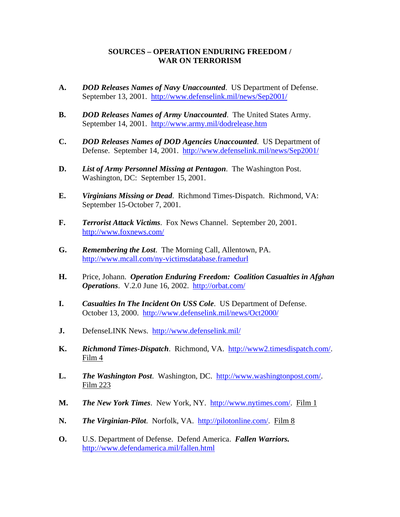## **SOURCES – OPERATION ENDURING FREEDOM / WAR ON TERRORISM**

- **A.** *DOD Releases Names of Navy Unaccounted*. US Department of Defense. September 13, 2001. <http://www.defenselink.mil/news/Sep2001/>
- **B.** *DOD Releases Names of Army Unaccounted*. The United States Army. September 14, 2001. <http://www.army.mil/dodrelease.htm>
- **C.** *DOD Releases Names of DOD Agencies Unaccounted*. US Department of Defense. September 14, 2001. <http://www.defenselink.mil/news/Sep2001/>
- **D.** *List of Army Personnel Missing at Pentagon*. The Washington Post. Washington, DC: September 15, 2001.
- **E.** *Virginians Missing or Dead*. Richmond Times-Dispatch. Richmond, VA: September 15-October 7, 2001.
- **F.** *Terrorist Attack Victims*. Fox News Channel. September 20, 2001. <http://www.foxnews.com/>
- **G.** *Remembering the Lost*. The Morning Call, Allentown, PA. <http://www.mcall.com/ny-victimsdatabase.framedurl>
- **H.** Price, Johann. *Operation Enduring Freedom: Coalition Casualties in Afghan Operations*. V.2.0 June 16, 2002. <http://orbat.com/>
- **I.** *Casualties In The Incident On USS Cole*. US Department of Defense. October 13, 2000. <http://www.defenselink.mil/news/Oct2000/>
- **J.** DefenseLINK News. <http://www.defenselink.mil/>
- **K.** *Richmond Times-Dispatch*. Richmond, VA. http://www2.timesdispatch.com/. Film 4
- L. The Washington Post. Washington, DC. http://www.washingtonpost.com/. Film 223
- **M.** *The New York Times*. New York, NY. http://www.nytimes.com/. Film 1
- **N.** *The Virginian-Pilot*. Norfolk, VA. http://pilotonline.com/. Film 8
- **O.** U.S. Department of Defense. Defend America. *Fallen Warriors.* <http://www.defendamerica.mil/fallen.html>